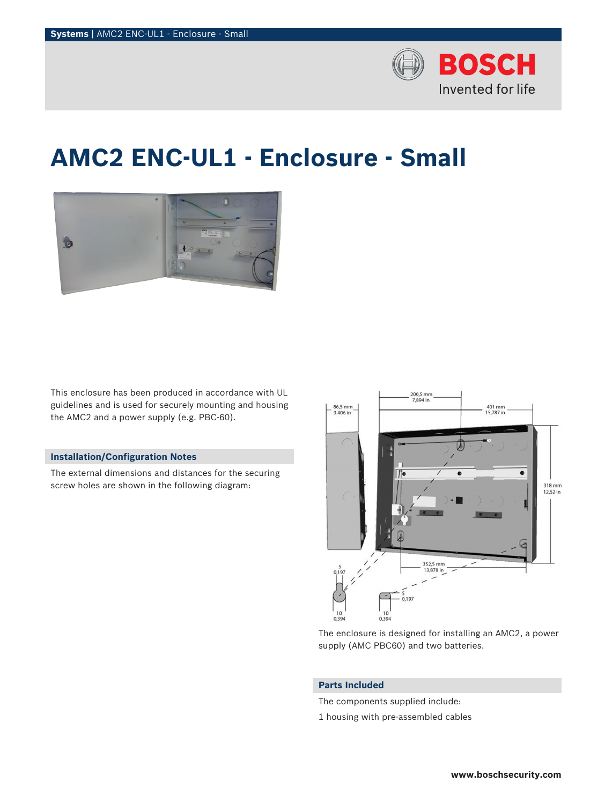

# **AMC2 ENC-UL1 - Enclosure - Small**



This enclosure has been produced in accordance with UL guidelines and is used for securely mounting and housing the AMC2 and a power supply (e.g. PBC-60).

# **Installation/Configuration Notes**

The external dimensions and distances for the securing screw holes are shown in the following diagram:



The enclosure is designed for installing an AMC2, a power supply (AMC PBC60) and two batteries.

## **Parts Included**

The components supplied include:

1 housing with pre-assembled cables